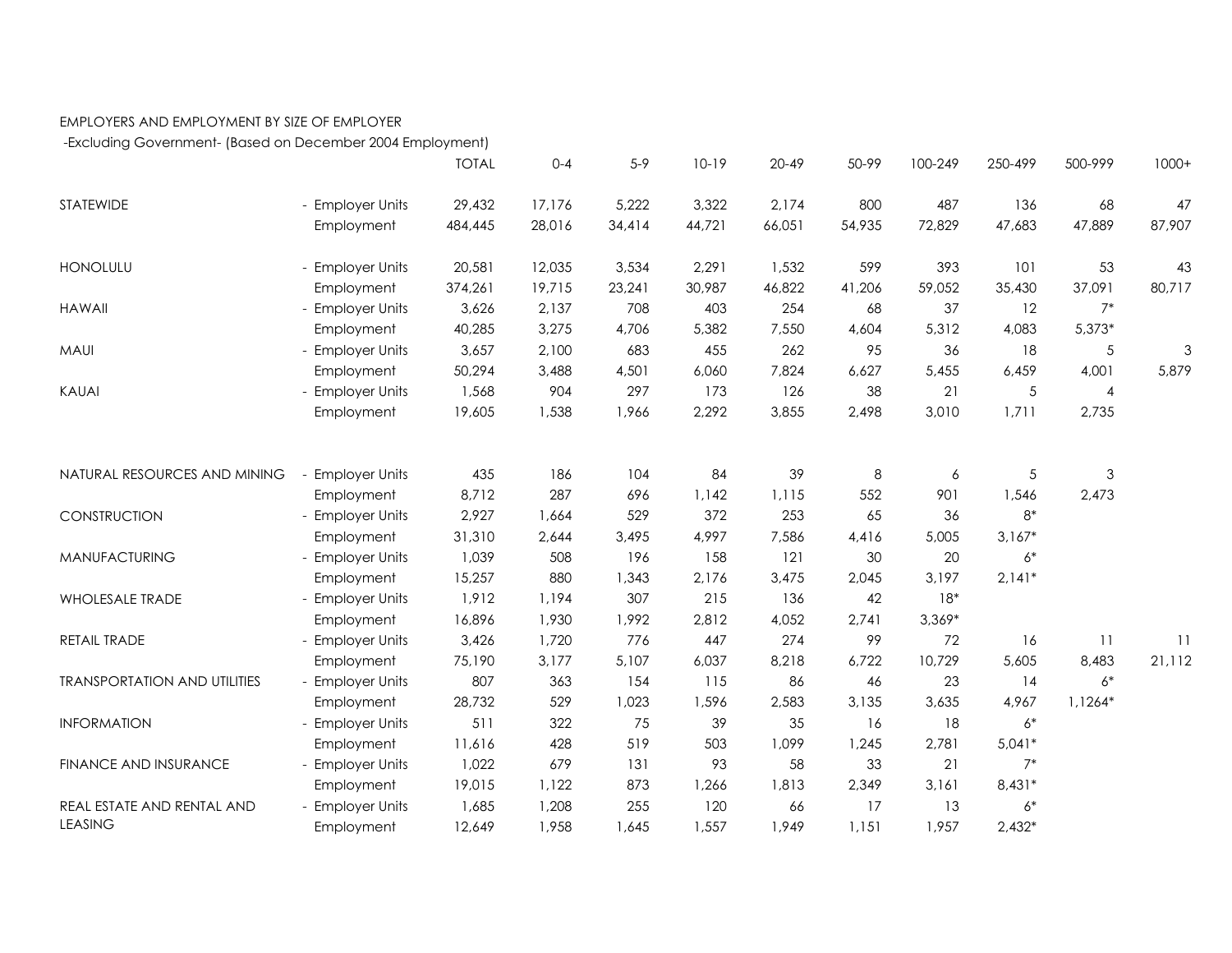## EMPLOYERS AND EMPLOYMENT BY SIZE OF EMPLOYER

-Excluding Government- (Based on December 2004 Employment)

|                                     |                                | <b>TOTAL</b>   | $0 - 4$ | $5-9$      | $10-19$      | $20 - 49$    | 50-99     | 100-249   | 250-499       | 500-999        | $1000+$ |
|-------------------------------------|--------------------------------|----------------|---------|------------|--------------|--------------|-----------|-----------|---------------|----------------|---------|
| <b>STATEWIDE</b>                    | - Employer Units               | 29,432         | 17,176  | 5,222      | 3,322        | 2.174        | 800       | 487       | 136           | 68             | 47      |
|                                     | Employment                     | 484,445        | 28,016  | 34,414     | 44,721       | 66,051       | 54,935    | 72,829    | 47,683        | 47,889         | 87,907  |
| <b>HONOLULU</b>                     | - Employer Units               | 20,581         | 12,035  | 3,534      | 2,291        | 1,532        | 599       | 393       | 101           | 53             | 43      |
|                                     | Employment                     | 374,261        | 19,715  | 23,241     | 30,987       | 46,822       | 41,206    | 59,052    | 35,430        | 37,091         | 80,717  |
| <b>HAWAII</b>                       | - Employer Units               | 3,626          | 2,137   | 708        | 403          | 254          | 68        | 37        | 12            | $7*$           |         |
|                                     | Employment                     | 40,285         | 3,275   | 4,706      | 5,382        | 7,550        | 4,604     | 5,312     | 4,083         | $5,373*$       |         |
| <b>MAUI</b>                         | - Employer Units               | 3,657          | 2,100   | 683        | 455          | 262          | 95        | 36        | 18            | 5              | 3       |
|                                     | Employment                     | 50,294         | 3,488   | 4,501      | 6,060        | 7,824        | 6,627     | 5,455     | 6,459         | 4,001          | 5,879   |
| <b>KAUAI</b>                        | - Employer Units               | 1,568          | 904     | 297        | 173          | 126          | 38        | 21        | 5             | $\overline{4}$ |         |
|                                     | Employment                     | 19,605         | 1,538   | 1,966      | 2,292        | 3,855        | 2,498     | 3,010     | 1,711         | 2,735          |         |
|                                     |                                | 435            | 186     | 104        | 84           | 39           | 8         |           |               | $\mathsf 3$    |         |
| NATURAL RESOURCES AND MINING        | - Employer Units               |                | 287     |            |              |              |           | 6         | $\sqrt{5}$    |                |         |
| CONSTRUCTION                        | Employment<br>- Employer Units | 8,712<br>2,927 | 1,664   | 696<br>529 | 1,142<br>372 | 1,115<br>253 | 552<br>65 | 901<br>36 | 1,546<br>$8*$ | 2,473          |         |
|                                     |                                |                |         |            |              |              |           |           |               |                |         |
|                                     | Employment                     | 31,310         | 2,644   | 3,495      | 4,997        | 7,586        | 4,416     | 5,005     | $3,167*$      |                |         |
| MANUFACTURING                       | - Employer Units               | 1,039          | 508     | 196        | 158          | 121          | 30        | 20        | $6*$          |                |         |
|                                     | Employment                     | 15,257         | 880     | 1,343      | 2,176        | 3,475        | 2,045     | 3,197     | $2,141*$      |                |         |
| <b>WHOLESALE TRADE</b>              | - Employer Units               | 1,912          | 1,194   | 307        | 215          | 136          | 42        | $18*$     |               |                |         |
|                                     | Employment                     | 16,896         | 1,930   | 1,992      | 2,812        | 4,052        | 2,741     | $3,369*$  |               |                |         |
| RETAIL TRADE                        | - Employer Units               | 3,426          | 1,720   | 776        | 447          | 274          | 99        | 72        | 16            | 11             | 11      |
| <b>TRANSPORTATION AND UTILITIES</b> | Employment                     | 75,190         | 3,177   | 5,107      | 6,037        | 8,218        | 6,722     | 10,729    | 5,605         | 8,483          | 21,112  |
|                                     | - Employer Units               | 807            | 363     | 154        | 115          | 86           | 46        | 23        | 14            | $6*$           |         |
|                                     | Employment                     | 28,732         | 529     | 1,023      | 1,596        | 2,583        | 3,135     | 3,635     | 4,967         | 1,1264*        |         |
| <b>INFORMATION</b>                  | - Employer Units               | 511            | 322     | 75         | 39           | 35           | 16        | 18        | $6*$          |                |         |
|                                     | Employment                     | 11,616         | 428     | 519        | 503          | 1,099        | 1,245     | 2,781     | $5,041*$      |                |         |
| FINANCE AND INSURANCE               | - Employer Units               | 1,022          | 679     | 131        | 93           | 58           | 33        | 21        | $7*$          |                |         |
|                                     | Employment                     | 19,015         | 1,122   | 873        | 1,266        | 1,813        | 2,349     | 3,161     | $8,431*$      |                |         |
| REAL ESTATE AND RENTAL AND          | - Employer Units               | 1,685          | 1,208   | 255        | 120          | 66           | 17        | 13        | $6*$          |                |         |
| <b>LEASING</b>                      | Employment                     | 12,649         | 1,958   | 1,645      | 1,557        | 1,949        | 1,151     | 1,957     | $2,432*$      |                |         |